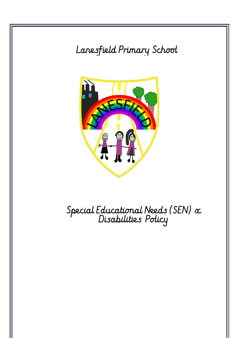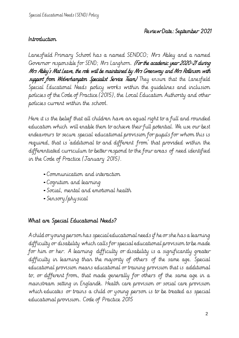## Review Date: September 2021

#### Introduction

Lanesfield Primary School has a named SENDCO; Mrs Abley and a named Governor responsible for SEND; Mrs Langhorn. (For the academic year 2020-21 during Mrs Abley's Mat Leave, the role will be maintained by Mrs Greenway and Mrs Rollinson with support from Wolverhampton Specialist Service Team/ They ensure that the Lanesfield Special Educational Needs policy works within the guidelines and inclusion policies of the Code of Practice (2015), the Local Education Authority and other policies current within the school.

Here it is the belief that all children have an equal right to a full and rounded education which will enable them to achieve their full potential. We use our best endeavours to secure special educational provision for pupils for whom this is required, that is 'additional to and different from' that provided within the differentiated curriculum to better respond to the four areas of need identified in the Code of Practice (January 2015).

- Communication and interaction
- Cognition and learning
- Social, mental and emotional health
- Sensory/physical

### What are Special Educational Needs?

A child or young person has special educational needs if he or she has a learning difficulty or disability which calls for special educational provision to be made for him or her. A learning difficulty or disability is a significantly greater difficulty in learning than the majority of others of the same age. Special educational provision means educational or training provision that is additional to, or different from, that made generally for others of the same age in a mainstream setting in Englandk. Health care provision or social care provision which educates or trains a child or young person is to be treated as special educational provision. Code of Practice 2015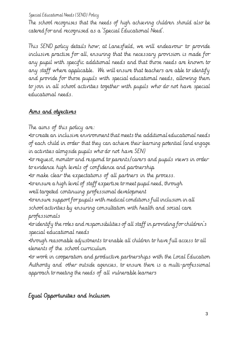The school recognises that the needs of high achieving children should also be catered for and recognised as a 'Special Educational Need'.

This SEND policy details how, at Lanesfield, we will endeavour to provide inclusive practise for all, ensuring that the necessary provision is made for any pupil with specific additional needs and that those needs are known to any staff where applicable. We will ensure that teachers are able to identify and provide for those pupils with special educational needs, allowing them to join in all school activities together with pupils who do not have special educational needs.

# Aims and objectives

The aims of this policy are:

•to create an inclusive environment that meets the additional educational needs of each child in order that they can achieve their learning potential (and engage in activities alongside pupils who do not have SEN)

•to request, monitor and respond to parents/carers and pupils views in order to evidence high levels of confidence and partnership

•to make clear the expectations of all partners in the process.

•to ensure a high level of staff expertise to meet pupil need, through

well targeted continuing professional development

•to ensure support for pupils with medical conditions full inclusion in all school activities by ensuring consultation with health and social care professionals

•to identify the roles and responsibilities of all staff in providing for children's special educational needs

•through reasonable adjustments to enable all children to have full access to all elements of the school curriculum

•to work in cooperation and productive partnerships with the Local Education Authority and other outside agencies, to ensure there is a multi-professional approach to meeting the needs of all vulnerable learners

Equal Opportunities and Inclusion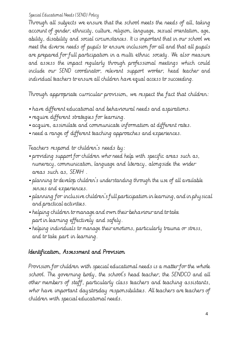Through all subjects we ensure that the school meets the needs of all, taking account of gender, ethnicity, culture, religion, language, sexual orientation, age, ability, disability and social circumstances. It is important that in our school we meet the diverse needs of pupils to ensure inclusion for all and that all pupils are prepared for full participation in a multi ethnic society. We also measure and assess the impact regularly through professional meetings which could include our SEND coordinator, relevant support worker, head teacher and individual teachers to ensure all children have equal access to succeeding.

Through appropriate curricular provision, we respect the fact that children:

- have different educational and behavioural needs and aspirations.
- require different strategies for learning.
- acquire, assimilate and communicate information at different rates.
- need <sup>a</sup> range of different teaching approaches and experiences.

Teachers respond to children's needs by:

- providing support for children who need help with specific areas such as, numeracy, communication, language and literacy, alongside the wider areas such as, SEMH .
- planning to develop children's understanding through the use of all available senses and experiences.
- planning for inclusive children's full participation in learning, and in physical and practical activities.
- helping children to manage and own their behaviour and to take part in learning effectively and safely.
- helping individuals to manage their emotions, particularly trauma or stress, and to take part in learning.

## Identification, Assessment and Provision

Provision for children with special educational needs is a matter for the whole school. The governing body, the school's head teacher, the SENDCO and all other members of staff, particularly class teachers and teaching assistants, who have important daystosday responsibilities. All teachers are teachers of children with special educational needs.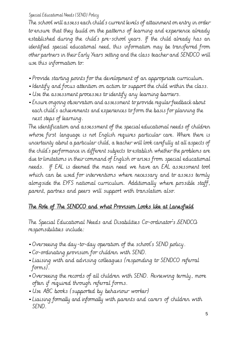The school will assess each child's current levels of attainment on entry in order to ensure that they build on the patterns of learning and experience already established during the child's pre-school years. If the child already has an identified special educational need, this information may be transferred from other partners in their Early Years setting and the class teacher and SENDCO will use this information to:

- Provide starting points for the development of an appropriate curriculum.
- •Identify and focus attention on action to support the child within the class.
- Use the assessment processes to identify any learning barriers.
- Ensure ongoing observation and assessment to provide regular feedback about each child's achievements and experiences to form the basis for planning the next steps of learning.

The identification and assessment of the special educational needs of children whose first language is not English requires particular care. Where there is uncertainty about a particular child, a teacher will look carefully at all aspects of the child's performance in different subjects to establish whether the problems are due to limitations in their command of English or arises from special educational needs. If EAL is deemed the main need we have an EAL assessment tool which can be used for interventions where necessary and to assess termly alongside the EYFS national curriculum. Additionally where possible staff, parent, partnes and peers will support with translation also.

## The Role of The SENDCO and what Provision Looks like at Lanesfield

The Special Educational Needs and Disabilities Co-ordinator's SENDCO responsibilities include:

- Overseeing the day-to-day operation of the school's SEND policy.
- Co-ordinating provision for children with SEND.
- Liaising with and advising colleagues (responding to SENDCO referral forms).
- Overseeing the records of all children with SEND. Reviewing termly, more often if required through referral forms.
- Use ABC books (supported by behaviour worker)
- Liaising formally and informally with parents and carers of children with SEND.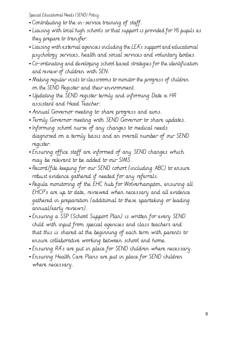- Contributing to the in-service training of staff.
- Liaising with local high schools so that support is provided for Y6 pupils as they prepare to transfer.
- Liaising with external agencies including the LEA's support and educational psychology services, health and social services and voluntary bodies.
- Co-ordinating and developing school based strategies for the identification and review of children with SEN.
- Making regular visits to classrooms to monitor the progress of children on the SEND Register and their environment.
- Updating the SEND register termly and informing Date & HR assistant and Head Teacher.
- Annual Governor meeting to share progress and aims.
- Termly Governor meeting with SEND Governor to share updates.
- •Informing school nurse of any changes to medical needs diagnosed on a termly basis and an overall number of our SEND register.
- Ensuring office staff are informed of any SEND changes which may be relevant to be added to our SIMS.
- Record/file keeping for our SEND cohort (including ABC) to ensure robust evidence gathered if needed for any referrals.
- Regula monitoring of the EHC hub for Wolverhampton, ensuring all EHCP's are up to date, reviewed when necessary and all evidence gathered in preparation (additional to these spartaking or leading annual/early reviews).
- Ensuring a SSP (School Support Plan) is written for every SEND child with input from special agencies and class teachers and that this is shared at the beginning of each term with parents to ensure collaborative working between school and home.
- Ensuring RA's are put in place for SEND children where necessary.
- Ensuring Health Care Plans are put in place for SEND children where necessary.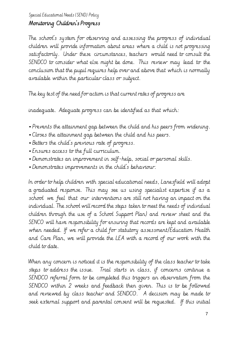## Monitoring Children's Progress

The school's system for observing and assessing the progress of individual children will provide information about areas where a child is not progressing satisfactorily. Under these circumstances, teachers would need to consult the SENDCO to consider what else might be done. This review may lead to the conclusion that the pupil requires help over and above that which is normally available within the particular class or subject.

The key test of the need for action is that current rates of progress are

inadequate. Adequate progress can be identified as that which:

- Prevents the attainment gap between the child and his peers from widening.
- Closes the attainment gap between the child and his peers.
- Betters the child's previous rate of progress.
- Ensures access to the full curriculum.
- Demonstrates an improvement in self-help, social or personal skills.
- Demonstrates improvements in the child's behaviour.

In order to help children with special educational needs, Lanesfield will adopt a graduated response. This may see us using specialist expertise if as a school we feel that our interventions are still not having an impact on the individual. The school will record the steps taken to meet the needs of individual children through the use of a School Support Plan) and review sheet and the SENCO will have responsibility for ensuring that records are kept and available when needed. If we refer a child for statutory assessment/Education Health and Care Plan, we will provide the LEA with a record of our work with the child to date.

When any concern is noticed it is the responsibility of the class teacher to take steps to address the issue. Trial starts in class, if concerns continue a SENDCO referral form to be completed this triggers an observation from the SENDCO within 2 weeks and feedback then given. This is to be followed and reviewed by class teacher and SENDCO. A decision may be made to seek external support and parental consent will be requested. If this initial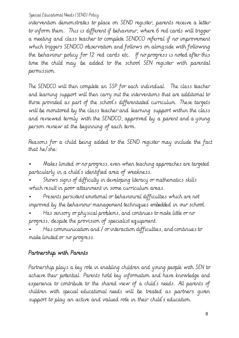intervention demonstrates to place on SEND register, parents receive a letter to inform them. This is different if behaviour, where 6 red cards will trigger a meeting and class teacher to complete SENDCO referral if no improvement which triggers SENDCO observation and follows on alongside with following the behaviour policy for 12 red cards etc. If no progress is noted after this time the child may be added to the school SEN register with parental permission.

The SENDCO will then complete an SSP for each individual. The class teacher and learning support will then carry out the interventions that are additional to those provided as part of the school's differentiated curriculum. These targets will be monitored by the class teacher and learning support within the class and reviewed termly with the SENDCO, approved by a parent and a young person review at the beginning of each term.

Reasons for a child being added to the SEND register may include the fact that he/she:

• Makes limited or no progress, even when teaching approaches are targeted particularly in a child's identified area of weakness.

• Shows signs of difficulty in developing literacy or mathematics skills which result in poor attainment in some curriculum areas.

• Presents persistent emotional or behavioural difficulties which are not improved by the behaviour management techniques embedded in our school.

• Has sensory or physical problems, and continues to make little or no progress, despite the provision of specialist equipment.

• Has communication and / or interaction difficulties, and continues to make limited or no progress.

# Partnership with Parents

Partnership plays a key role in enabling children and young people with SEN to achieve their potential. Parents hold key information and have knowledge and experience to contribute to the shared view of a child's needs. All parents of children with special educational needs will be treated as partners given support to play an active and valued role in their child's education.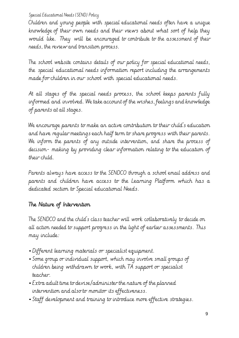Children and young people with special educational needs often have a unique knowledge of their own needs and their views about what sort of help they would like. They will be encouraged to contribute to the assessment of their needs, the review and transition process.

The school website contains details of our policy for special educational needs, the special educational needs information report including the arrangements made for children in our school with special educational needs.

At all stages of the special needs process, the school keeps parents fully informed and involved. We take account of the wishes, feelings and knowledge of parents at all stages.

We encourage parents to make an active contribution to their child's education and have regular meetings each half term to share progress with their parents. We inform the parents of any outside intervention, and share the process of decision- making by providing clear information relating to the education of their child.

Parents always have access to the SENDCO through a school email address and parents and children have access to the Learning Platform which has a dedicated section to Special educational Needs.

## The Nature of Intervention

The SENDCO and the child's class teacher will work collaboratively to decide on all action needed to support progress in the light of earlier assessments. This may include:

- Different learning materials or specialist equipment.
- Some group or individual support, which may involve small groups of children being withdrawn to work, with TA support or specialist teacher.
- Extra adult time to devise/administer the nature of the planned intervention and also to monitor its effectiveness.
- Staff development and training to introduce more effective strategies.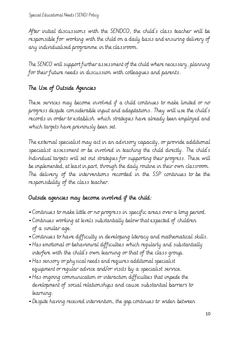After initial discussions with the SENDCO, the child's class teacher will be responsible for working with the child on a daily basis and ensuring delivery of any individualised programme in the classroom.

The SENCO will support further assessment of the child where necessary, planning for their future needs in discussion with colleagues and parents.

## The Use of Outside Agencies

These services may become involved if a child continues to make limited or no progress despite considerable input and adaptations. They will use the child's records in order to establish which strategies have already been employed and which targets have previously been set.

The external specialist may act in an advisory capacity, or provide additional specialist assessment or be involved in teaching the child directly. The child's Individual targets will set out strategies for supporting their progress. These will be implemented, at least in part, through the daily routine in their own classroom. The delivery of the interventions recorded in the SSP continues to be the responsibility of the class teacher.

## Outside agencies may become involved if the child:

- Continues to make little or no progress in specific areas over <sup>a</sup> long period.
- Continues working at levels substantially below that expected of children of a similar age.
- Continues to have difficulty in developing literacy and mathematical skills.
- Has emotional or behavioural difficulties which regularly and substantially interfere with the child's own learning or that of the class group.
- Has sensory or physical needs and requires additional specialist equipment or regular advice and/or visits by a specialist service.
- Has ongoing communication or interaction difficulties that impede the development of social relationships and cause substantial barriers to learning.
- Despite having received intervention, the gap continues to widen between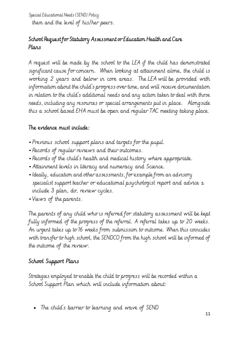Special Educational Needs (SEND) Policy them and the level of his/her peers.

## School Request for Statutory Assessment or Education Health and Care Plans

A request will be made by the school to the LEA if the child has demonstrated significant cause for concern. When looking at attainment alone, the child is working 2 years and below in core areas. The LEA will be provided with information about the child's progress over time, and will receive documentation in relation to the child's additional needs and any action taken to deal with those needs, including any resources or special arrangements put in place. Alongside this a school based EHA must be open and regular TAC meeting taking place.

### The evidence must include:

- Previous school support plans and targets for the pupil.
- Records of regular reviews and their outcomes.
- Records of the child's health and medical history where appropriate.
- Attainment levels in literacy and numeracy and Science.
- •Ideally, education and other assessments, for example from an advisory specialist support teacher or educational psychologist report and advice – include 3 plan, do, review cycles.
- Views of the parents.

The parents of any child who is referred for statutory assessment will be kept fully informed of the progress of the referral. A referral takes up to 20 weeks. An urgent takes up to 16 weeks from submission to outcome. When this coincides with transfer to high school, the SENDCO from the high school will be informed of the outcome of the review.

## School Support Plans

Strategies employed to enable the child to progress will be recorded within a School Support Plan which will include information about:

• The child's barrier to learning and wave of SEND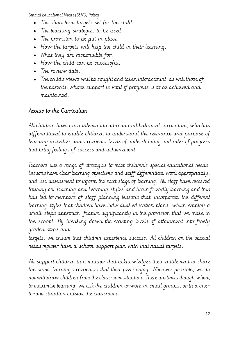- The short term targets set for the child.
- The teaching strategies to be used.
- The provision to be put in place.
- How the targets will help the child in their learning.
- What they are responsible for.
- How the child can be successful.
- The review date.
- The child's views will be sought and taken into account, as will those of the parents, whose support is vital if progress is to be achieved and maintained.

## Access to the Curriculum

All children have an entitlement to a broad and balanced curriculum, which is differentiated to enable children to understand the relevance and purpose of learning activities and experience levels of understanding and rates of progress that bring feelings of success and achievement.

Teachers use a range of strategies to meet children's special educational needs. Lessons have clear learning objectives and staff differentiate work appropriately, and use assessment to inform the next stage of learning. All staff have received training on 'Teaching and Learning styles' and brain friendly learning and this has led to members of staff planning lessons that incorporate the different learning styles that children have Individual education plans, which employ a small-steps approach, feature significantly in the provision that we make in the school. By breaking down the existing levels of attainment into finely graded steps and

targets, we ensure that children experience success. All children on the special needs register have a school support plan with individual targets.

We support children in a manner that acknowledges their entitlement to share the same learning experiences that their peers enjoy. Wherever possible, we do not withdraw children from the classroom situation. There are times though when, to maximise learning, we ask the children to work in small groups, or in a oneto-one situation outside the classroom.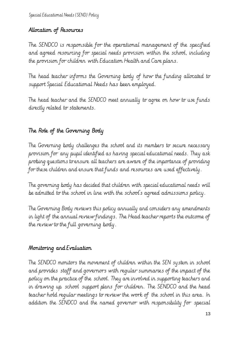## Allocation of Resources

The SENDCO is responsible for the operational management of the specified and agreed resourcing for special needs provision within the school, including the provision for children with Education Health and Care plans.

The head teacher informs the Governing body of how the funding allocated to support Special Educational Needs has been employed.

The head teacher and the SENDCO meet annually to agree on how to use funds directly related to statements.

# The Role of the Governing Body

The Governing body challenges the school and its members to secure necessary provision for any pupil identified as having special educational needs. They ask probing questions to ensure all teachers are aware of the importance of providing for these children and ensure that funds and resources are used effectively.

The governing body has decided that children with special educational needs will be admitted to the school in line with the school's agreed admissions policy.

The Governing Body reviews this policy annually and considers any amendments in light of the annual review findings. The Head teacher reports the outcome of the review to the full governing body.

## Monitoring and Evaluation

The SENDCO monitors the movement of children within the SEN system in school and provides staff and governors with regular summaries of the impact of the policy on the practice of the school. They are involved in supporting teachers and in drawing up school support plans for children. The SENDCO and the head teacher hold regular meetings to review the work of the school in this area. In addition the SENDCO and the named governor with responsibility for special